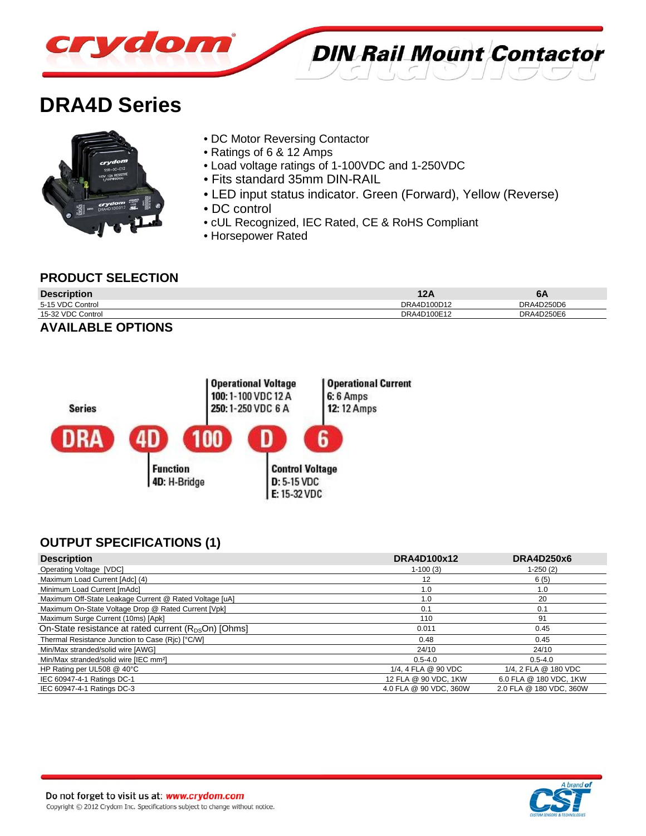

# **DRA4D Series**



- DC Motor Reversing Contactor
- Ratings of 6 & 12 Amps
- Load voltage ratings of 1-100VDC and 1-250VDC
- Fits standard 35mm DIN-RAIL
- LED input status indicator. Green (Forward), Yellow (Reverse)

**DIN Rail Mount Contactor** 

- DC control
- cUL Recognized, IEC Rated, CE & RoHS Compliant
- Horsepower Rated

#### **PRODUCT SELECTION**

| <b>Description</b> | 121         | 6A         |
|--------------------|-------------|------------|
| 5-15 VDC Control   | DRA4D100D12 | DRA4D250D6 |
| 15-32 VDC Control  | DRA4D100E12 | DRA4D250E6 |
|                    |             |            |

#### **AVAILABLE OPTIONS**



# **OUTPUT SPECIFICATIONS (1)**

| <b>Description</b>                                               | DRA4D100x12            | DRA4D250x6              |
|------------------------------------------------------------------|------------------------|-------------------------|
| Operating Voltage [VDC]                                          | $1-100(3)$             | $1-250(2)$              |
| Maximum Load Current [Adc] (4)                                   | 12                     | 6(5)                    |
| Minimum Load Current [mAdc]                                      | 1.0                    | 1.0                     |
| Maximum Off-State Leakage Current @ Rated Voltage [uA]           | 1.0                    | 20                      |
| Maximum On-State Voltage Drop @ Rated Current [Vpk]              | 0.1                    | 0.1                     |
| Maximum Surge Current (10ms) [Apk]                               | 110                    | 91                      |
| On-State resistance at rated current (R <sub>DS</sub> On) [Ohms] | 0.011                  | 0.45                    |
| Thermal Resistance Junction to Case (Ric) [°C/W]                 | 0.48                   | 0.45                    |
| Min/Max stranded/solid wire [AWG]                                | 24/10                  | 24/10                   |
| Min/Max stranded/solid wire [IEC mm <sup>2</sup> ]               | $0.5 - 4.0$            | $0.5 - 4.0$             |
| HP Rating per UL508 @ 40°C                                       | 1/4, 4 FLA @ 90 VDC    | 1/4, 2 FLA @ 180 VDC    |
| IEC 60947-4-1 Ratings DC-1                                       | 12 FLA @ 90 VDC, 1KW   | 6.0 FLA @ 180 VDC, 1KW  |
| IEC 60947-4-1 Ratings DC-3                                       | 4.0 FLA @ 90 VDC, 360W | 2.0 FLA @ 180 VDC, 360W |

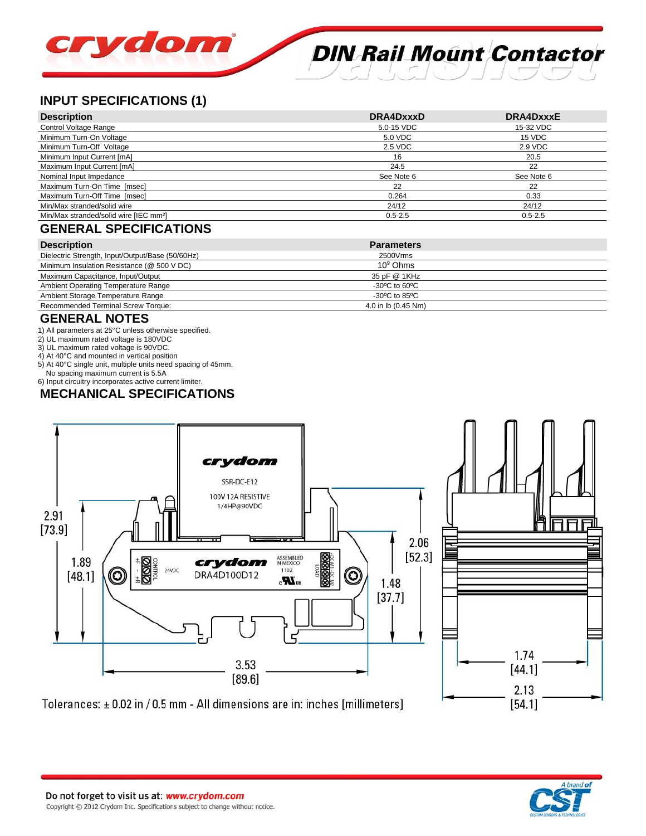# crydom **DIN Rail Mount Contactor**

# **INPUT SPECIFICATIONS (1)**

| <b>Description</b>                                 | DRA4DxxxD   | DRA4DxxxE   |
|----------------------------------------------------|-------------|-------------|
| Control Voltage Range                              | 5.0-15 VDC  | 15-32 VDC   |
| Minimum Turn-On Voltage                            | 5.0 VDC     | 15 VDC      |
| Minimum Turn-Off Voltage                           | 2.5 VDC     | 2.9 VDC     |
| Minimum Input Current [mA]                         | 16          | 20.5        |
| Maximum Input Current [mA]                         | 24.5        | 22          |
| Nominal Input Impedance                            | See Note 6  | See Note 6  |
| Maximum Turn-On Time [msec]                        | 22          | 22          |
| Maximum Turn-Off Time [msec]                       | 0.264       | 0.33        |
| Min/Max stranded/solid wire                        | 24/12       | 24/12       |
| Min/Max stranded/solid wire [IEC mm <sup>2</sup> ] | $0.5 - 2.5$ | $0.5 - 2.5$ |
|                                                    |             |             |

### **GENERAL SPECIFICATIONS**

| <b>Description</b>                               | <b>Parameters</b>                  |  |
|--------------------------------------------------|------------------------------------|--|
| Dielectric Strength, Input/Output/Base (50/60Hz) | 2500Vrms                           |  |
| Minimum Insulation Resistance (@ 500 V DC)       | $10^9$ Ohms                        |  |
| Maximum Capacitance, Input/Output                | 35 pF @ 1KHz                       |  |
| Ambient Operating Temperature Range              | $-30^{\circ}$ C to 60 $^{\circ}$ C |  |
| Ambient Storage Temperature Range                | $-30^{\circ}$ C to 85 $^{\circ}$ C |  |
| Recommended Terminal Screw Torque:               | 4.0 in lb (0.45 Nm)                |  |
| ------- <i>-----</i>                             |                                    |  |

#### **GENERAL NOTES**

1) All parameters at 25°C unless otherwise specified.

- 2) UL maximum rated voltage is 180VDC
- 3) UL maximum rated voltage is 90VDC.

4) At 40°C and mounted in vertical position

5) At 40°C single unit, multiple units need spacing of 45mm.

 No spacing maximum current is 5.5A 6) Input circuitry incorporates active current limiter.

# **MECHANICAL SPECIFICATIONS**



Tolerances: ± 0.02 in / 0.5 mm - All dimensions are in: inches [millimeters]



 $[54.1]$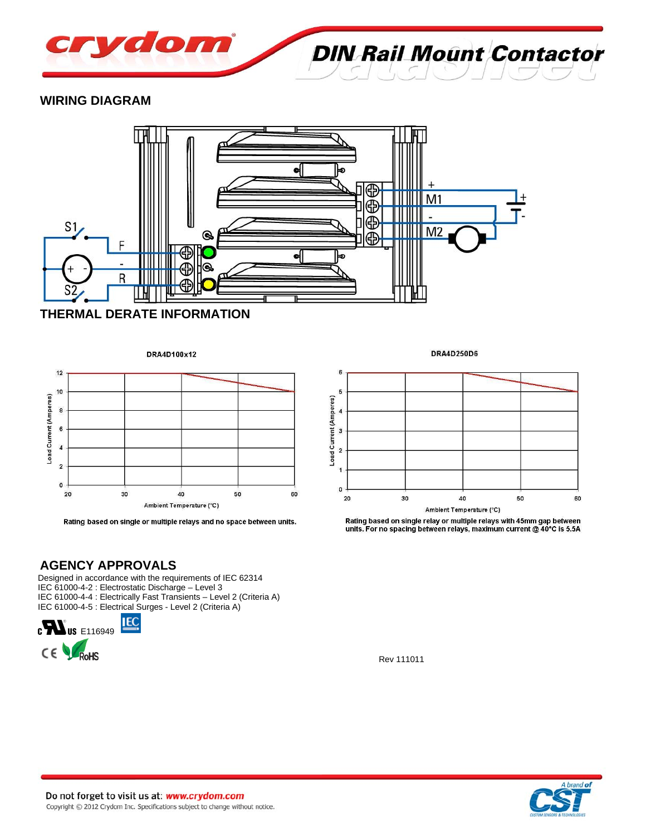

**DIN Rail Mount Contactor** 

#### **WIRING DIAGRAM**



#### **THERMAL DERATE INFORMATION**





Rating based on single or multiple relays and no space between units.

**AGENCY APPROVALS**

Designed in accordance with the requirements of IEC 62314 IEC 61000-4-2 : Electrostatic Discharge – Level 3 IEC 61000-4-4 : Electrically Fast Transients – Level 2 (Criteria A) IEC 61000-4-5 : Electrical Surges - Level 2 (Criteria A)



DRA4D250D6



Rating based on single relay or multiple relays with 45mm gap between units. For no spacing between relays, maximum current @ 40°C is 5.5A

Rev 111011

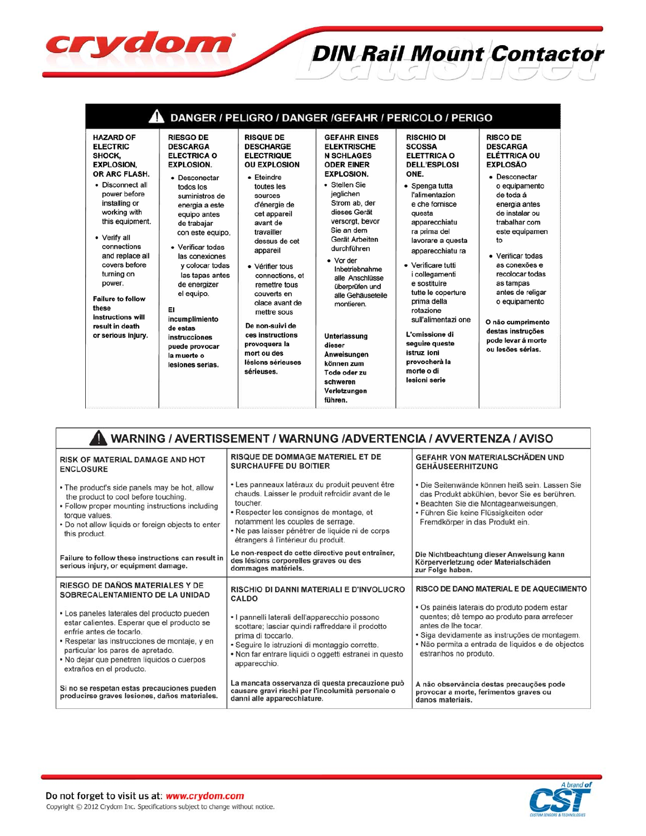|                                                                                                                                                                                                                                                                                                                                                                                                                                                                                                                                                                                                                                                                                                                                                                                                       |                                                                                                                                                                                                                                                                                                                                                                                                                                 |                                                                                                                                                                                                                                                                                                                                                                                                                                                                | DANGER / PELIGRO / DANGER /GEFAHR / PERICOLO / PERIGO                                                                                                                                                                                                                                                                                                                                                                                                                 |                                                                                                                                                                                                                                                                                                                                                                                                         |
|-------------------------------------------------------------------------------------------------------------------------------------------------------------------------------------------------------------------------------------------------------------------------------------------------------------------------------------------------------------------------------------------------------------------------------------------------------------------------------------------------------------------------------------------------------------------------------------------------------------------------------------------------------------------------------------------------------------------------------------------------------------------------------------------------------|---------------------------------------------------------------------------------------------------------------------------------------------------------------------------------------------------------------------------------------------------------------------------------------------------------------------------------------------------------------------------------------------------------------------------------|----------------------------------------------------------------------------------------------------------------------------------------------------------------------------------------------------------------------------------------------------------------------------------------------------------------------------------------------------------------------------------------------------------------------------------------------------------------|-----------------------------------------------------------------------------------------------------------------------------------------------------------------------------------------------------------------------------------------------------------------------------------------------------------------------------------------------------------------------------------------------------------------------------------------------------------------------|---------------------------------------------------------------------------------------------------------------------------------------------------------------------------------------------------------------------------------------------------------------------------------------------------------------------------------------------------------------------------------------------------------|
| <b>HAZARD OF</b><br><b>RIESGO DE</b><br><b>ELECTRIC</b><br><b>DESCARGA</b><br>SHOCK.<br><b>ELECTRICA O</b><br><b>EXPLOSION.</b><br><b>EXPLOSION.</b><br>OR ARC FLASH.<br>• Desconectar<br>• Disconnect all<br>todos los<br>power before<br>suministros de<br>installing or<br>energia a este<br>working with<br>equipo antes<br>this equipment.<br>de trabajar<br>con este equipo.<br>• Verify all<br>connections<br>• Verificar todas<br>and replace all<br>las conexiones<br>covers before<br>y colocar todas<br>turning on<br>las tapas antes<br>power.<br>de energizer<br>el equipo.<br><b>Failure to follow</b><br>these<br>EI<br>instructions will<br>incumplimiento<br>result in death<br>de estas<br>or serious injury.<br>instrucciones<br>puede provocar<br>la muerte o<br>lesiones serias. | <b>RISQUE DE</b><br><b>DESCHARGE</b><br><b>ELECTRIQUE</b><br><b>OU EXPLOSION</b><br>· Fteindre<br>toutes les<br>sources<br>d'énergie de<br>cet appareil<br>avant de<br>travailler<br>dessus de cet<br>appareil<br>• Vérifier tous<br>connections, et<br>remettre tous<br>couverts en<br>olace avant de<br>mettre sous<br>De non-suivi de<br>ces instructions<br>provoquera la<br>mort ou des<br>lésions sérieuses<br>sérieuses. | <b>GEFAHR EINES</b><br><b>ELEKTRISCHE</b><br><b>N SCHLAGES</b><br><b>ODER EINER</b><br><b>EXPLOSION.</b><br>• Stellen Sie<br>jeglichen<br>Strom ab. der<br>dieses Gerät<br>versorgt, bevor<br>Sie an dem<br>Gerät Arbeiten<br>durchführen<br>• Vor der<br>Inbetriebnahme<br>alle Anschlüsse<br>überprüfen und<br>alle Gehäuseteile<br>montieren.<br>Unterlassung<br>dieser<br>Anweisungen<br>können zum<br>Tode oder zu<br>schweren<br>Verletzungen<br>führen. | <b>RISCHIO DI</b><br><b>SCOSSA</b><br><b>ELETTRICA O</b><br><b>DELL'ESPLOSI</b><br>ONE.<br>• Spenga tutta<br>l'alimentazion<br>e che fornisce<br>questa<br>apparecchiatu<br>ra prima del<br>lavorare a questa<br>apparecchiatu ra<br>• Verificare tutti<br>i collegamenti<br>e sostituire<br>tutte le coperture<br>prima della<br>rotazione<br>sull'alimentazi one<br>L'omissione di<br>seguire queste<br>istruz ioni<br>provocherà la<br>morte o di<br>lesioni serie | <b>RISCO DE</b><br><b>DESCARGA</b><br><b>ELÉTTRICA OU</b><br><b>EXPLOSÃO</b><br>• Desconectar<br>o equipamento<br>de toda á<br>energia antes<br>de instalar ou<br>trabalhar com<br>este equipamen<br>to<br>• Verificar todas<br>as conexões e<br>recolocar todas<br>as tampas<br>antes de religar<br>o equipamento<br>O não cumprimento<br>destas instruções<br>pode levar á morte<br>ou lesões sérias. |

**DIN Rail Mount Contactor** 

| WARNING / AVERTISSEMENT / WARNUNG /ADVERTENCIA / AVVERTENZA / AVISO                                                                                                                                                                                                                    |                                                                                                                                                                                                                                                                                             |                                                                                                                                                                                                                                                   |  |  |  |  |
|----------------------------------------------------------------------------------------------------------------------------------------------------------------------------------------------------------------------------------------------------------------------------------------|---------------------------------------------------------------------------------------------------------------------------------------------------------------------------------------------------------------------------------------------------------------------------------------------|---------------------------------------------------------------------------------------------------------------------------------------------------------------------------------------------------------------------------------------------------|--|--|--|--|
| <b>RISK OF MATERIAL DAMAGE AND HOT</b><br><b>ENCLOSURE</b>                                                                                                                                                                                                                             | <b>RISQUE DE DOMMAGE MATERIEL ET DE</b><br><b>SURCHAUFFE DU BOITIER</b>                                                                                                                                                                                                                     | <b>GEFAHR VON MATERIALSCHÄDEN UND</b><br><b>GEHÄUSEERHITZUNG</b>                                                                                                                                                                                  |  |  |  |  |
| • The product's side panels may be hot, allow<br>the product to cool before touching.<br>• Follow proper mounting instructions including<br>torque values.<br>. Do not allow liquids or foreign objects to enter<br>this product.                                                      | • Les panneaux latéraux du produit peuvent être<br>chauds. Laisser le produit refroidir avant de le<br>toucher.<br>• Respecter les consignes de montage, et<br>notamment les couples de serrage.<br>• Ne pas laisser pénétrer de liquide ni de corps<br>étrangers à l'intérieur du produit. | · Die Seitenwände können heiß sein. Lassen Sie<br>das Produkt abkühlen, bevor Sie es berühren.<br>· Beachten Sie die Montageanweisungen,<br>• Führen Sie keine Flüssigkeiten oder<br>Fremdkörper in das Produkt ein.                              |  |  |  |  |
| Failure to follow these instructions can result in<br>serious injury, or equipment damage.                                                                                                                                                                                             | Le non-respect de cette directive peut entraîner,<br>des lésions corporelles graves ou des<br>dommages matériels.                                                                                                                                                                           | Die Nichtbeachtung dieser Anweisung kann<br>Körperverletzung oder Materialschäden<br>zur Folge haben.                                                                                                                                             |  |  |  |  |
| RIESGO DE DAÑOS MATERIALES Y DE<br>SOBRECALENTAMIENTO DE LA UNIDAD                                                                                                                                                                                                                     | RISCHIO DI DANNI MATERIALI E D'INVOLUCRO<br>CALDO                                                                                                                                                                                                                                           | RISCO DE DANO MATERIAL E DE AQUECIMENTO                                                                                                                                                                                                           |  |  |  |  |
| • Los paneles laterales del producto pueden<br>estar calientes. Esperar que el producto se<br>enfríe antes de tocarlo.<br>• Respetar las instrucciones de montaje, y en<br>particular los pares de apretado.<br>• No dejar que penetren líquidos o cuerpos<br>extraños en el producto. | · I pannelli laterali dell'apparecchio possono<br>scottare; lasciar quindi raffreddare il prodotto<br>prima di toccarlo.<br>· Seguire le istruzioni di montaggio corrette.<br>• Non far entrare liquidi o oggetti estranei in questo<br>apparecchio.                                        | · Os painéis laterais do produto podem estar<br>quentes; dê tempo ao produto para arrefecer<br>antes de lhe tocar.<br>· Siga devidamente as instruções de montagem.<br>· Não permita a entrada de líquidos e de objectos<br>estranhos no produto. |  |  |  |  |
| Si no se respetan estas precauciones pueden<br>producirse graves lesiones, daños materiales.                                                                                                                                                                                           | La mancata osservanza di questa precauzione può<br>causare gravi rischi per l'incolumità personale o<br>danni alle apparecchiature.                                                                                                                                                         | A não observância destas precauções pode<br>provocar a morte, ferimentos graves ou<br>danos materiais.                                                                                                                                            |  |  |  |  |



crydom